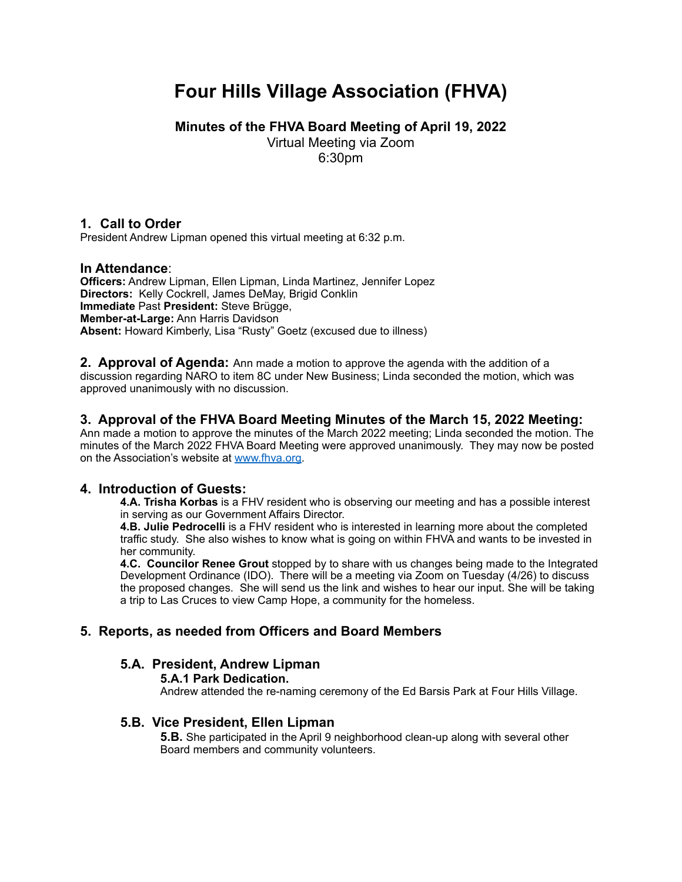# **Four Hills Village Association (FHVA)**

**Minutes of the FHVA Board Meeting of April 19, 2022**

Virtual Meeting via Zoom

6:30pm

# **1. Call to Order**

President Andrew Lipman opened this virtual meeting at 6:32 p.m.

# **In Attendance**:

**Officers:** Andrew Lipman, Ellen Lipman, Linda Martinez, Jennifer Lopez **Directors:** Kelly Cockrell, James DeMay, Brigid Conklin **Immediate** Past **President:** Steve Brügge, **Member-at-Large:** Ann Harris Davidson **Absent:** Howard Kimberly, Lisa "Rusty" Goetz (excused due to illness)

**2. Approval of Agenda:** Ann made a motion to approve the agenda with the addition of a discussion regarding NARO to item 8C under New Business; Linda seconded the motion, which was approved unanimously with no discussion.

# **3. Approval of the FHVA Board Meeting Minutes of the March 15, 2022 Meeting:**

Ann made a motion to approve the minutes of the March 2022 meeting; Linda seconded the motion. The minutes of the March 2022 FHVA Board Meeting were approved unanimously. They may now be posted on the Association's website at [www.fhva.org.](http://www.fhva.org)

# **4. Introduction of Guests:**

**4.A. Trisha Korbas** is a FHV resident who is observing our meeting and has a possible interest in serving as our Government Affairs Director.

**4.B. Julie Pedrocelli** is a FHV resident who is interested in learning more about the completed traffic study. She also wishes to know what is going on within FHVA and wants to be invested in her community.

**4.C. Councilor Renee Grout** stopped by to share with us changes being made to the Integrated Development Ordinance (IDO). There will be a meeting via Zoom on Tuesday (4/26) to discuss the proposed changes. She will send us the link and wishes to hear our input. She will be taking a trip to Las Cruces to view Camp Hope, a community for the homeless.

# **5. Reports, as needed from Officers and Board Members**

# **5.A. President, Andrew Lipman**

### **5.A.1 Park Dedication.**

Andrew attended the re-naming ceremony of the Ed Barsis Park at Four Hills Village.

### **5.B. Vice President, Ellen Lipman**

**5.B.** She participated in the April 9 neighborhood clean-up along with several other Board members and community volunteers.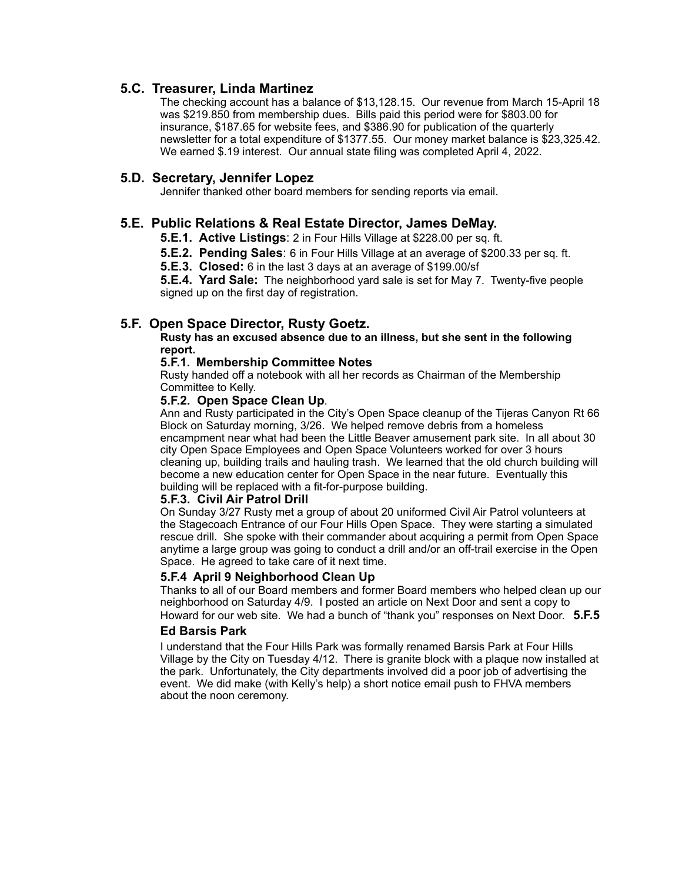### **5.C. Treasurer, Linda Martinez**

The checking account has a balance of \$13,128.15. Our revenue from March 15-April 18 was \$219.850 from membership dues. Bills paid this period were for \$803.00 for insurance, \$187.65 for website fees, and \$386.90 for publication of the quarterly newsletter for a total expenditure of \$1377.55. Our money market balance is \$23,325.42. We earned \$.19 interest. Our annual state filing was completed April 4, 2022.

### **5.D. Secretary, Jennifer Lopez**

Jennifer thanked other board members for sending reports via email.

### **5.E. Public Relations & Real Estate Director, James DeMay.**

**5.E.1. Active Listings**: 2 in Four Hills Village at \$228.00 per sq. ft.

**5.E.2. Pending Sales**: 6 in Four Hills Village at an average of \$200.33 per sq. ft.

**5.E.3. Closed:** 6 in the last 3 days at an average of \$199.00/sf

**5.E.4. Yard Sale:** The neighborhood yard sale is set for May 7. Twenty-five people signed up on the first day of registration.

### **5.F. Open Space Director, Rusty Goetz.**

**Rusty has an excused absence due to an illness, but she sent in the following report.**

### **5.F.1. Membership Committee Notes**

Rusty handed off a notebook with all her records as Chairman of the Membership Committee to Kelly.

### **5.F.2. Open Space Clean Up**.

Ann and Rusty participated in the City's Open Space cleanup of the Tijeras Canyon Rt 66 Block on Saturday morning, 3/26. We helped remove debris from a homeless encampment near what had been the Little Beaver amusement park site. In all about 30 city Open Space Employees and Open Space Volunteers worked for over 3 hours cleaning up, building trails and hauling trash. We learned that the old church building will become a new education center for Open Space in the near future. Eventually this building will be replaced with a fit-for-purpose building.

#### **5.F.3. Civil Air Patrol Drill**

On Sunday 3/27 Rusty met a group of about 20 uniformed Civil Air Patrol volunteers at the Stagecoach Entrance of our Four Hills Open Space. They were starting a simulated rescue drill. She spoke with their commander about acquiring a permit from Open Space anytime a large group was going to conduct a drill and/or an off-trail exercise in the Open Space. He agreed to take care of it next time.

### **5.F.4 April 9 Neighborhood Clean Up**

Thanks to all of our Board members and former Board members who helped clean up our neighborhood on Saturday 4/9. I posted an article on Next Door and sent a copy to Howard for our web site. We had a bunch of "thank you" responses on Next Door. **5.F.5** 

#### **Ed Barsis Park**

I understand that the Four Hills Park was formally renamed Barsis Park at Four Hills Village by the City on Tuesday 4/12. There is granite block with a plaque now installed at the park. Unfortunately, the City departments involved did a poor job of advertising the event. We did make (with Kelly's help) a short notice email push to FHVA members about the noon ceremony.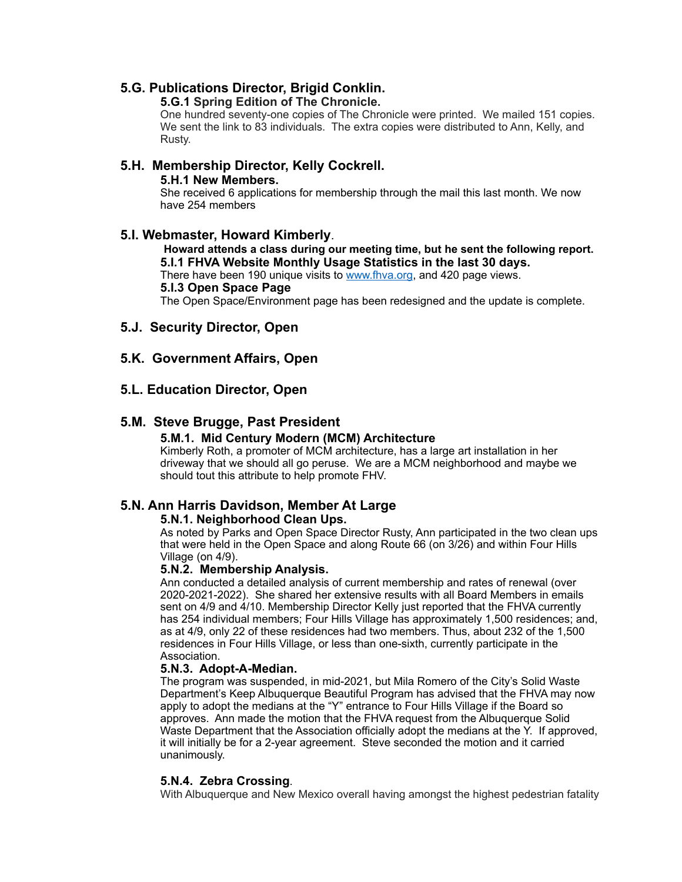### **5.G. Publications Director, Brigid Conklin.**

### **5.G.1 Spring Edition of The Chronicle.**

One hundred seventy-one copies of The Chronicle were printed. We mailed 151 copies. We sent the link to 83 individuals. The extra copies were distributed to Ann, Kelly, and Rusty.

# **5.H. Membership Director, Kelly Cockrell.**

### **5.H.1 New Members.**

She received 6 applications for membership through the mail this last month. We now have 254 members

### **5.I. Webmaster, Howard Kimberly**.

### **Howard attends a class during our meeting time, but he sent the following report. 5.I.1 FHVA Website Monthly Usage Statistics in the last 30 days.**

There have been 190 unique visits to [www.fhva.org,](http://www.fhva.org) and 420 page views.

**5.I.3 Open Space Page**

The Open Space/Environment page has been redesigned and the update is complete.

### **5.J. Security Director, Open**

### **5.K. Government Affairs, Open**

### **5.L. Education Director, Open**

### **5.M. Steve Brugge, Past President**

### **5.M.1. Mid Century Modern (MCM) Architecture**

Kimberly Roth, a promoter of MCM architecture, has a large art installation in her driveway that we should all go peruse. We are a MCM neighborhood and maybe we should tout this attribute to help promote FHV.

### **5.N. Ann Harris Davidson, Member At Large**

### **5.N.1. Neighborhood Clean Ups.**

As noted by Parks and Open Space Director Rusty, Ann participated in the two clean ups that were held in the Open Space and along Route 66 (on 3/26) and within Four Hills Village (on 4/9).

### **5.N.2. Membership Analysis.**

Ann conducted a detailed analysis of current membership and rates of renewal (over 2020-2021-2022). She shared her extensive results with all Board Members in emails sent on 4/9 and 4/10. Membership Director Kelly just reported that the FHVA currently has 254 individual members; Four Hills Village has approximately 1,500 residences; and, as at 4/9, only 22 of these residences had two members. Thus, about 232 of the 1,500 residences in Four Hills Village, or less than one-sixth, currently participate in the Association.

### **5.N.3. Adopt-A-Median.**

The program was suspended, in mid-2021, but Mila Romero of the City's Solid Waste Department's Keep Albuquerque Beautiful Program has advised that the FHVA may now apply to adopt the medians at the "Y" entrance to Four Hills Village if the Board so approves. Ann made the motion that the FHVA request from the Albuquerque Solid Waste Department that the Association officially adopt the medians at the Y. If approved, it will initially be for a 2-year agreement. Steve seconded the motion and it carried unanimously.

### **5.N.4. Zebra Crossing**.

With Albuquerque and New Mexico overall having amongst the highest pedestrian fatality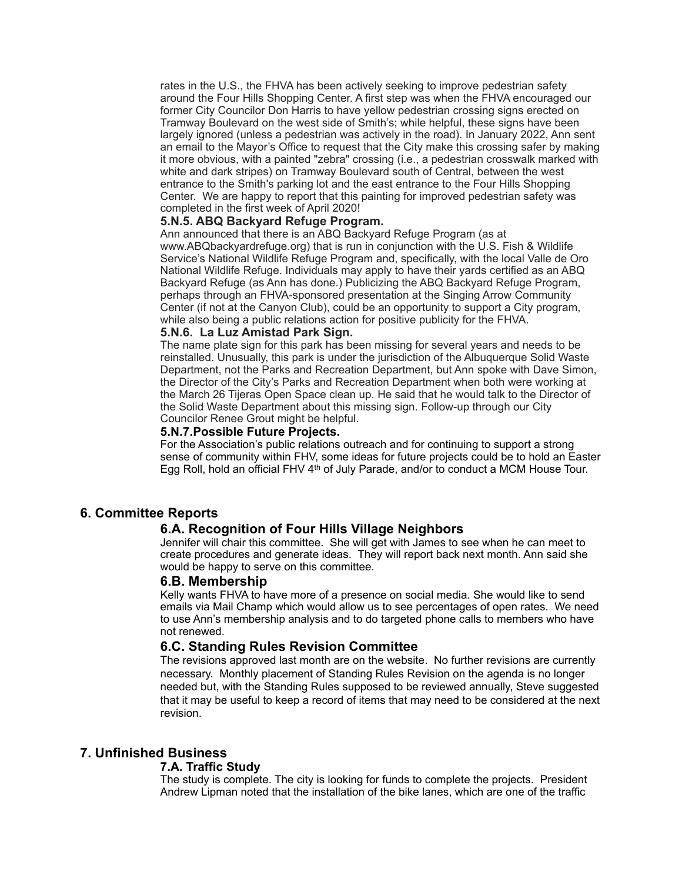rates in the U.S., the FHVA has been actively seeking to improve pedestrian safety around the Four Hills Shopping Center. A first step was when the FHVA encouraged our former City Councilor Don Harris to have yellow pedestrian crossing signs erected on Tramway Boulevard on the west side of Smith's; while helpful, these signs have been largely ignored (unless a pedestrian was actively in the road). In January 2022, Ann sent an email to the Mayor's Office to request that the City make this crossing safer by making it more obvious, with a painted "zebra" crossing (i.e., a pedestrian crosswalk marked with white and dark stripes) on Tramway Boulevard south of Central, between the west entrance to the Smith's parking lot and the east entrance to the Four Hills Shopping Center. We are happy to report that this painting for improved pedestrian safety was completed in the first week of April 2020!

### **5.N.5. ABQ Backyard Refuge Program.**

Ann announced that there is an ABQ Backyard Refuge Program (as at www.ABQbackyardrefuge.org) that is run in conjunction with the U.S. Fish & Wildlife Service's National Wildlife Refuge Program and, specifically, with the local Valle de Oro National Wildlife Refuge. Individuals may apply to have their yards certified as an ABQ Backyard Refuge (as Ann has done.) Publicizing the ABQ Backyard Refuge Program, perhaps through an FHVA-sponsored presentation at the Singing Arrow Community Center (if not at the Canyon Club), could be an opportunity to support a City program, while also being a public relations action for positive publicity for the FHVA.

#### **5.N.6. La Luz Amistad Park Sign.**

The name plate sign for this park has been missing for several years and needs to be reinstalled. Unusually, this park is under the jurisdiction of the Albuquerque Solid Waste Department, not the Parks and Recreation Department, but Ann spoke with Dave Simon, the Director of the City's Parks and Recreation Department when both were working at the March 26 Tijeras Open Space clean up. He said that he would talk to the Director of the Solid Waste Department about this missing sign. Follow-up through our City Councilor Renee Grout might be helpful.

### **5.N.7.Possible Future Projects.**

For the Association's public relations outreach and for continuing to support a strong sense of community within FHV, some ideas for future projects could be to hold an Easter Egg Roll, hold an official FHV 4th of July Parade, and/or to conduct a MCM House Tour.

### **6. Committee Reports**

### **6.A. Recognition of Four Hills Village Neighbors**

Jennifer will chair this committee. She will get with James to see when he can meet to create procedures and generate ideas. They will report back next month. Ann said she would be happy to serve on this committee.

#### **6.B. Membership**

Kelly wants FHVA to have more of a presence on social media. She would like to send emails via Mail Champ which would allow us to see percentages of open rates. We need to use Ann's membership analysis and to do targeted phone calls to members who have not renewed.

### **6.C. Standing Rules Revision Committee**

The revisions approved last month are on the website. No further revisions are currently necessary. Monthly placement of Standing Rules Revision on the agenda is no longer needed but, with the Standing Rules supposed to be reviewed annually, Steve suggested that it may be useful to keep a record of items that may need to be considered at the next revision.

### **7. Unfinished Business**

#### **7.A. Traffic Study**

The study is complete. The city is looking for funds to complete the projects. President Andrew Lipman noted that the installation of the bike lanes, which are one of the traffic